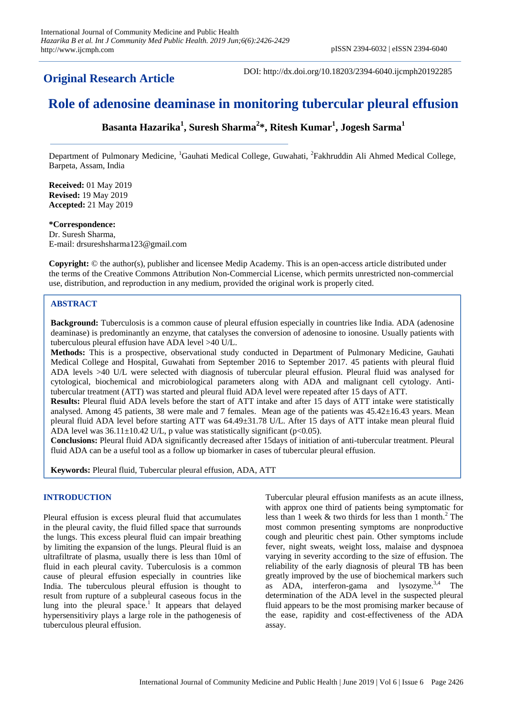**Original Research Article**

DOI: http://dx.doi.org/10.18203/2394-6040.ijcmph20192285

# **Role of adenosine deaminase in monitoring tubercular pleural effusion**

**Basanta Hazarika<sup>1</sup> , Suresh Sharma<sup>2</sup> \*, Ritesh Kumar<sup>1</sup> , Jogesh Sarma<sup>1</sup>**

Department of Pulmonary Medicine, <sup>1</sup>Gauhati Medical College, Guwahati, <sup>2</sup>Fakhruddin Ali Ahmed Medical College, Barpeta, Assam, India

**Received:** 01 May 2019 **Revised:** 19 May 2019 **Accepted:** 21 May 2019

#### **\*Correspondence:**

Dr. Suresh Sharma, E-mail: drsureshsharma123@gmail.com

**Copyright:** © the author(s), publisher and licensee Medip Academy. This is an open-access article distributed under the terms of the Creative Commons Attribution Non-Commercial License, which permits unrestricted non-commercial use, distribution, and reproduction in any medium, provided the original work is properly cited.

## **ABSTRACT**

**Background:** Tuberculosis is a common cause of pleural effusion especially in countries like India. ADA (adenosine deaminase) is predominantly an enzyme, that catalyses the conversion of adenosine to ionosine. Usually patients with tuberculous pleural effusion have ADA level >40 U/L.

**Methods:** This is a prospective, observational study conducted in Department of Pulmonary Medicine, Gauhati Medical College and Hospital, Guwahati from September 2016 to September 2017. 45 patients with pleural fluid ADA levels >40 U/L were selected with diagnosis of tubercular pleural effusion. Pleural fluid was analysed for cytological, biochemical and microbiological parameters along with ADA and malignant cell cytology. Antitubercular treatment (ATT) was started and pleural fluid ADA level were repeated after 15 days of ATT.

**Results:** Pleural fluid ADA levels before the start of ATT intake and after 15 days of ATT intake were statistically analysed. Among 45 patients, 38 were male and 7 females. Mean age of the patients was 45.42±16.43 years. Mean pleural fluid ADA level before starting ATT was 64.49±31.78 U/L. After 15 days of ATT intake mean pleural fluid ADA level was  $36.11 \pm 10.42$  U/L, p value was statistically significant (p<0.05).

**Conclusions:** Pleural fluid ADA significantly decreased after 15days of initiation of anti-tubercular treatment. Pleural fluid ADA can be a useful tool as a follow up biomarker in cases of tubercular pleural effusion.

**Keywords:** Pleural fluid, Tubercular pleural effusion, ADA, ATT

#### **INTRODUCTION**

Pleural effusion is excess pleural fluid that accumulates in the pleural cavity, the fluid filled space that surrounds the lungs. This excess pleural fluid can impair breathing by limiting the expansion of the lungs. Pleural fluid is an ultrafiltrate of plasma, usually there is less than 10ml of fluid in each pleural cavity. Tuberculosis is a common cause of pleural effusion especially in countries like India. The tuberculous pleural effusion is thought to result from rupture of a subpleural caseous focus in the lung into the pleural space.<sup>1</sup> It appears that delayed hypersensitiviry plays a large role in the pathogenesis of tuberculous pleural effusion.

Tubercular pleural effusion manifests as an acute illness, with approx one third of patients being symptomatic for less than 1 week  $&$  two thirds for less than 1 month.<sup>2</sup> The most common presenting symptoms are nonproductive cough and pleuritic chest pain. Other symptoms include fever, night sweats, weight loss, malaise and dyspnoea varying in severity according to the size of effusion. The reliability of the early diagnosis of pleural TB has been greatly improved by the use of biochemical markers such as  $ADA$ , interferon-gama and lysozyme.<sup>3,4</sup> The determination of the ADA level in the suspected pleural fluid appears to be the most promising marker because of the ease, rapidity and cost-effectiveness of the ADA assay.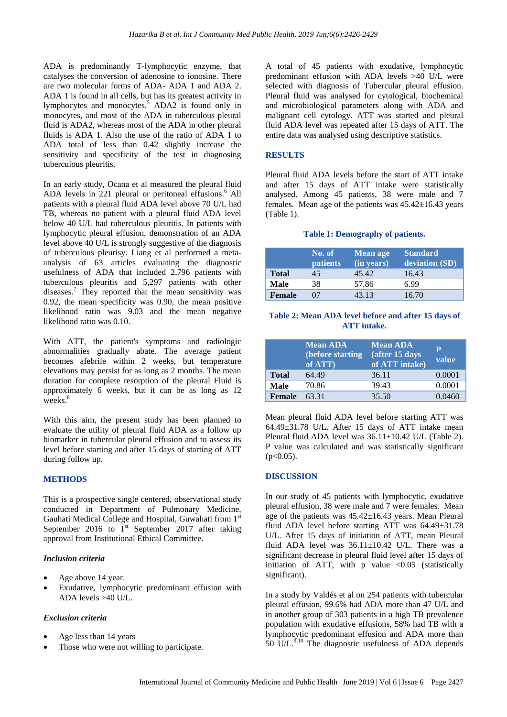ADA is predominantly T-lymphocytic enzyme, that catalyses the conversion of adenosine to ionosine. There are rwo molecular forms of ADA- ADA 1 and ADA 2. ADA 1 is found in all cells, but has its greatest activity in lymphocytes and monocytes.<sup>5</sup> ADA2 is found only in monocytes, and most of the ADA in tuberculous pleural fluid is ADA2, whereas most of the ADA in other pleural fluids is ADA 1. Also the use of the ratio of ADA 1 to ADA total of less than 0.42 slightly increase the sensitivity and specificity of the test in diagnosing tuberculous pleuritis.

In an early study, Ocana et al measured the pleural fluid ADA levels in 221 pleural or peritoneal effusions.<sup>6</sup> All patients with a pleural fluid ADA level above 70 U/L had TB, whereas no patient with a pleural fluid ADA level below 40 U/L had tuberculous pleuritis. In patients with lymphocytic pleural effusion, demonstration of an ADA level above 40 U/L is strongly suggestive of the diagnosis of tuberculous pleurisy. Liang et al performed a metaanalysis of 63 articles evaluating the diagnostic usefulness of ADA that included 2,796 patients with tuberculous pleuritis and 5,297 patients with other diseases.<sup>7</sup> They reported that the mean sensitivity was 0.92, the mean specificity was 0.90, the mean positive likelihood ratio was 9.03 and the mean negative likelihood ratio was 0.10.

With ATT, the patient's symptoms and radiologic abnormalities gradually abate. The average patient becomes afebrile within 2 weeks, but temperature elevations may persist for as long as 2 months. The mean duration for complete resorption of the pleural Fluid is approximately 6 weeks, but it can be as long as 12 weeks.<sup>8</sup>

With this aim, the present study has been planned to evaluate the utility of pleural fluid ADA as a follow up biomarker in tubercular pleural effusion and to assess its level before starting and after 15 days of starting of ATT during follow up.

# **METHODS**

This is a prospective single centered, observational study conducted in Department of Pulmonary Medicine, Gauhati Medical College and Hospital, Guwahati from 1<sup>st</sup> September 2016 to  $1<sup>st</sup>$  September 2017 after taking approval from Institutional Ethical Committee.

#### *Inclusion criteria*

- Age above 14 year.
- Exudative, lymphocytic predominant effusion with ADA levels >40 U/L.

# *Exclusion criteria*

- Age less than 14 years
- Those who were not willing to participate.

A total of 45 patients with exudative, lymphocytic predominant effusion with ADA levels >40 U/L were selected with diagnosis of Tubercular pleural effusion. Pleural fluid was analysed for cytological, biochemical and microbiological parameters along with ADA and malignant cell cytology. ATT was started and pleural fluid ADA level was repeated after 15 days of ATT. The entire data was analysed using descriptive statistics.

#### **RESULTS**

Pleural fluid ADA levels before the start of ATT intake and after 15 days of ATT intake were statistically analysed. Among 45 patients, 38 were male and 7 females. Mean age of the patients was  $45.42 \pm 16.43$  years (Table 1).

#### **Table 1: Demography of patients.**

|               | No. of<br><b>patients</b> | <b>Mean age</b><br>$(n)$ years) | <b>Standard</b><br>deviation (SD) |
|---------------|---------------------------|---------------------------------|-----------------------------------|
| <b>Total</b>  | 45                        | 45.42                           | 16.43                             |
| Male          | 38                        | 57.86                           | 6.99                              |
| <b>Female</b> | 07                        | 43.13                           | 16.70                             |

#### **Table 2: Mean ADA level before and after 15 days of ATT intake.**

|               | <b>Mean ADA</b><br>(before starting<br>of ATT) | <b>Mean ADA</b><br>(after 15 days<br>of ATT intake) | D<br>value |
|---------------|------------------------------------------------|-----------------------------------------------------|------------|
| <b>Total</b>  | 64.49                                          | 36.11                                               | 0.0001     |
| <b>Male</b>   | 70.86                                          | 39.43                                               | 0.0001     |
| <b>Female</b> | 63.31                                          | 35.50                                               | 0.0460     |

Mean pleural fluid ADA level before starting ATT was 64.49±31.78 U/L. After 15 days of ATT intake mean Pleural fluid ADA level was 36.11±10.42 U/L (Table 2). P value was calculated and was statistically significant  $(p<0.05)$ .

#### **DISCUSSION**

In our study of 45 patients with lymphocytic, exudative pleural effusion, 38 were male and 7 were females. Mean age of the patients was 45.42±16.43 years. Mean Pleural fluid ADA level before starting ATT was 64.49±31.78 U/L. After 15 days of initiation of ATT, mean Pleural fluid ADA level was  $36.11 \pm 10.42$  U/L. There was a significant decrease in pleural fluid level after 15 days of initiation of ATT, with p value  $\langle 0.05 \rangle$  (statistically significant).

In a study by Valdés et al on 254 patients with tubercular pleural effusion, 99.6% had ADA more than 47 U/L and in another group of 303 patients in a high TB prevalence population with exudative effusions, 58% had TB with a lymphocytic predominant effusion and ADA more than 50  $\rm U/L$ .<sup>9,10</sup> The diagnostic usefulness of ADA depends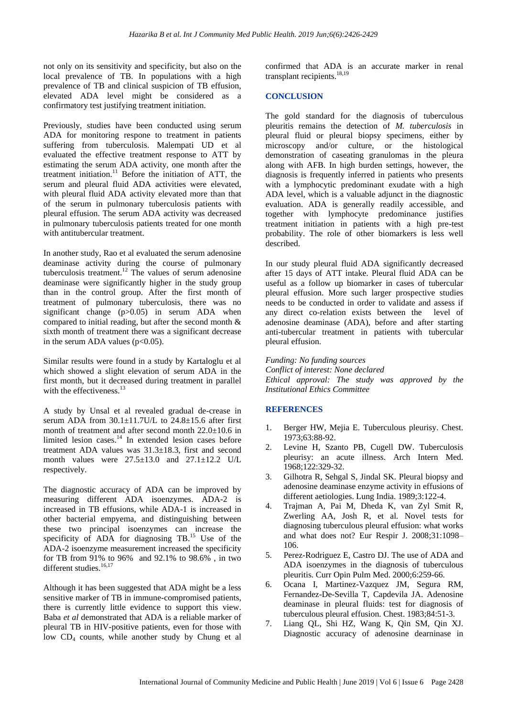not only on its sensitivity and specificity, but also on the local prevalence of TB. In populations with a high prevalence of TB and clinical suspicion of TB effusion, elevated ADA level might be considered as a confirmatory test justifying treatment initiation.

Previously, studies have been conducted using serum ADA for monitoring respone to treatment in patients suffering from tuberculosis. Malempati UD et al evaluated the effective treatment response to ATT by estimating the serum ADA activity, one month after the treatment initiation.<sup>11</sup> Before the initiation of ATT, the serum and pleural fluid ADA activities were elevated, with pleural fluid ADA activity elevated more than that of the serum in pulmonary tuberculosis patients with pleural effusion. The serum ADA activity was decreased in pulmonary tuberculosis patients treated for one month with antitubercular treatment.

In another study, Rao et al evaluated the serum adenosine deaminase activity during the course of pulmonary tuberculosis treatment.<sup>12</sup> The values of serum adenosine deaminase were significantly higher in the study group than in the control group. After the first month of treatment of pulmonary tuberculosis, there was no significant change  $(p>0.05)$  in serum ADA when compared to initial reading, but after the second month & sixth month of treatment there was a significant decrease in the serum ADA values  $(p<0.05)$ .

Similar results were found in a study by Kartaloglu et al which showed a slight elevation of serum ADA in the first month, but it decreased during treatment in parallel with the effectiveness.<sup>13</sup>

A study by Unsal et al revealed gradual de-crease in serum ADA from  $30.1 \pm 11.7$ U/L to  $24.8 \pm 15.6$  after first month of treatment and after second month 22.0±10.6 in limited lesion cases.<sup>14</sup> In extended lesion cases before treatment ADA values was 31.3±18.3, first and second month values were  $27.5 \pm 13.0$  and  $27.1 \pm 12.2$  U/L respectively.

The diagnostic accuracy of ADA can be improved by measuring different ADA isoenzymes. ADA-2 is increased in TB effusions, while ADA-1 is increased in other bacterial empyema, and distinguishing between these two principal isoenzymes can increase the specificity of ADA for diagnosing TB.<sup>15</sup> Use of the ADA-2 isoenzyme measurement increased the specificity for TB from 91% to 96% and 92.1% to 98.6% , in two different studies.<sup>16,17</sup>

Although it has been suggested that ADA might be a less sensitive marker of TB in immune-compromised patients, there is currently little evidence to support this view. Baba *et al* demonstrated that ADA is a reliable marker of pleural TB in HIV-positive patients, even for those with low CD<sub>4</sub> counts, while another study by Chung et al confirmed that ADA is an accurate marker in renal transplant recipients. $18,19$ 

#### **CONCLUSION**

The gold standard for the diagnosis of tuberculous pleuritis remains the detection of *M. tuberculosis* in pleural fluid or pleural biopsy specimens, either by microscopy and/or culture, or the histological demonstration of caseating granulomas in the pleura along with AFB. In high burden settings, however, the diagnosis is frequently inferred in patients who presents with a lymphocytic predominant exudate with a high ADA level, which is a valuable adjunct in the diagnostic evaluation. ADA is generally readily accessible, and together with lymphocyte predominance justifies treatment initiation in patients with a high pre-test probability. The role of other biomarkers is less well described.

In our study pleural fluid ADA significantly decreased after 15 days of ATT intake. Pleural fluid ADA can be useful as a follow up biomarker in cases of tubercular pleural effusion. More such larger prospective studies needs to be conducted in order to validate and assess if any direct co-relation exists between the level of adenosine deaminase (ADA), before and after starting anti-tubercular treatment in patients with tubercular pleural effusion.

*Funding: No funding sources Conflict of interest: None declared Ethical approval: The study was approved by the Institutional Ethics Committee*

## **REFERENCES**

- 1. Berger HW, Mejia E. Tuberculous pleurisy. Chest. 1973;63:88-92.
- 2. Levine H, Szanto PB, Cugell DW. Tuberculosis pleurisy: an acute illness. Arch Intern Med. 1968;122:329-32.
- 3. Gilhotra R, Sehgal S, Jindal SK. Pleural biopsy and adenosine deaminase enzyme activity in effusions of different aetiologies. Lung India. 1989;3:122-4.
- 4. Trajman A, Pai M, Dheda K, van Zyl Smit R, Zwerling AA, Josh R, et al. Novel tests for diagnosing tuberculous pleural effusion: what works and what does not? Eur Respir J. 2008;31:1098– 106.
- 5. Perez-Rodriguez E, Castro DJ. The use of ADA and ADA isoenzymes in the diagnosis of tuberculous pleuritis. Curr Opin Pulm Med. 2000;6:259-66.
- 6. Ocana I, Martinez-Vazquez JM, Segura RM, Fernandez-De-Sevilla T, Capdevila JA. Adenosine deaminase in pleural fluids: test for diagnosis of tuberculous pleural effusion. Chest. 1983;84:51-3.
- 7. Liang QL, Shi HZ, Wang K, Qin SM, Qin XJ. Diagnostic accuracy of adenosine dearninase in